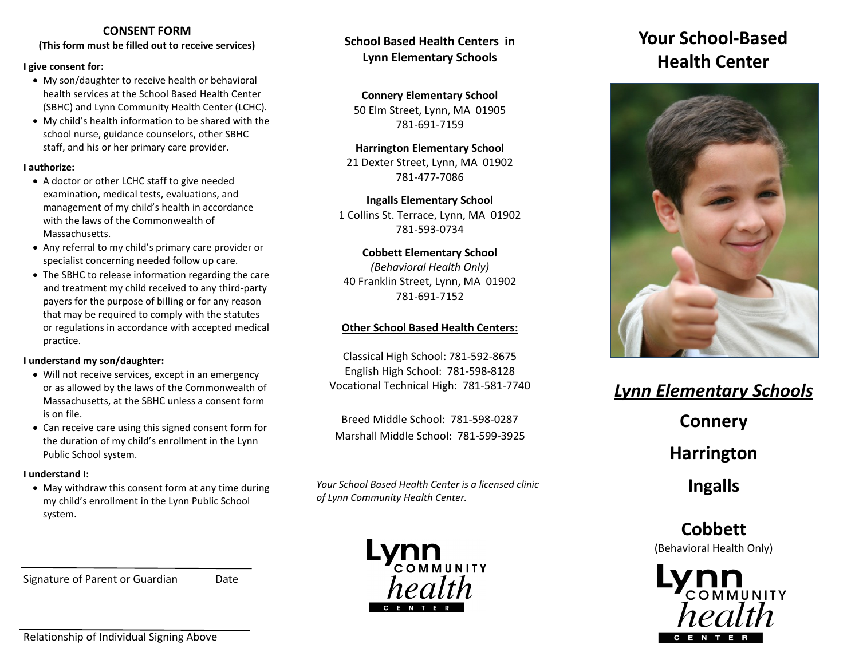#### **CONSENT FORM**

**(This form must be filled out to receive services)**

#### **I give consent for:**

- My son/daughter to receive health or behavioral health services at the School Based Health Center (SBHC) and Lynn Community Health Center (LCHC).
- My child's health information to be shared with the school nurse, guidance counselors, other SBHC staff, and his or her primary care provider.

#### **I authorize:**

- A doctor or other LCHC staff to give needed examination, medical tests, evaluations, and management of my child's health in accordance with the laws of the Commonwealth of Massachusetts.
- Any referral to my child's primary care provider or specialist concerning needed follow up care.
- The SBHC to release information regarding the care and treatment my child received to any third-party payers for the purpose of billing or for any reason that may be required to comply with the statutes or regulations in accordance with accepted medical practice.

#### **I understand my son/daughter:**

- Will not receive services, except in an emergency or as allowed by the laws of the Commonwealth of Massachusetts, at the SBHC unless a consent form is on file.
- Can receive care using this signed consent form for the duration of my child's enrollment in the Lynn Public School system.

#### **I understand I:**

 May withdraw this consent form at any time during my child's enrollment in the Lynn Public School system.

Signature of Parent or Guardian Date

# **School Based Health Centers in Lynn Elementary Schools**

**Connery Elementary School** 50 Elm Street, Lynn, MA 01905 781-691-7159

#### **Harrington Elementary School** 21 Dexter Street, Lynn, MA 01902 781-477-7086

**Ingalls Elementary School** 1 Collins St. Terrace, Lynn, MA 01902 781-593-0734

#### **Cobbett Elementary School**

*(Behavioral Health Only)* 40 Franklin Street, Lynn, MA 01902 781-691-7152

## **Other School Based Health Centers:**

Classical High School: 781-592-8675 English High School: 781-598-8128 Vocational Technical High: 781-581-7740

Breed Middle School: 781-598-0287 Marshall Middle School: 781-599-3925

*Your School Based Health Center is a licensed clinic of Lynn Community Health Center.*



# **Your School-Based Health Center**



# *Lynn Elementary Schools* **Connery Harrington Ingalls**

**Cobbett**  (Behavioral Health Only)